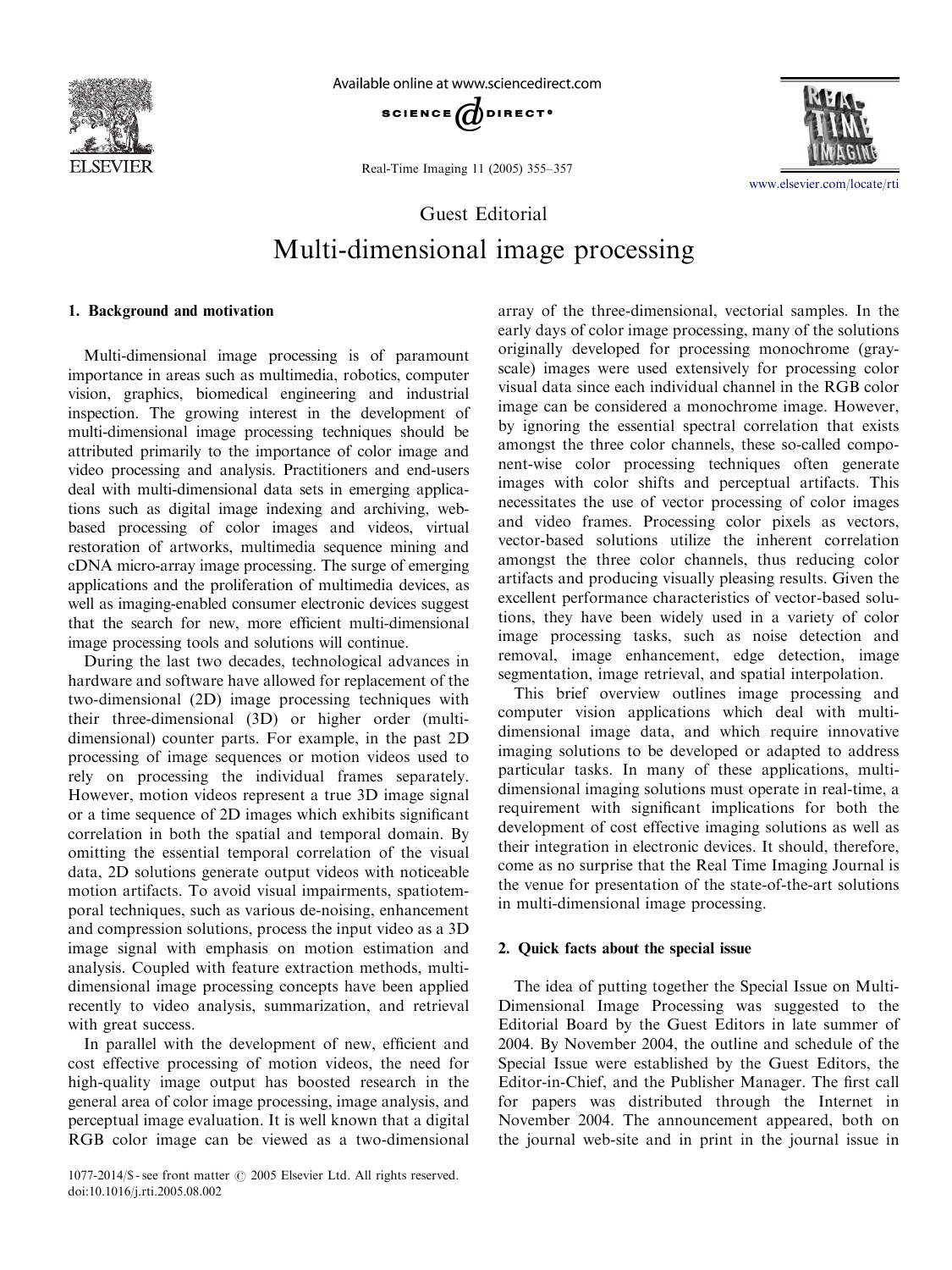

Available online at www.sciencedirect.com



Real-Time Imaging 11 (2005) 355–357

Guest Editorial

<www.elsevier.com/locate/rti>

# Multi-dimensional image processing

## 1. Background and motivation

Multi-dimensional image processing is of paramount importance in areas such as multimedia, robotics, computer vision, graphics, biomedical engineering and industrial inspection. The growing interest in the development of multi-dimensional image processing techniques should be attributed primarily to the importance of color image and video processing and analysis. Practitioners and end-users deal with multi-dimensional data sets in emerging applications such as digital image indexing and archiving, webbased processing of color images and videos, virtual restoration of artworks, multimedia sequence mining and cDNA micro-array image processing. The surge of emerging applications and the proliferation of multimedia devices, as well as imaging-enabled consumer electronic devices suggest that the search for new, more efficient multi-dimensional image processing tools and solutions will continue.

During the last two decades, technological advances in hardware and software have allowed for replacement of the two-dimensional (2D) image processing techniques with their three-dimensional (3D) or higher order (multidimensional) counter parts. For example, in the past 2D processing of image sequences or motion videos used to rely on processing the individual frames separately. However, motion videos represent a true 3D image signal or a time sequence of2D images which exhibits significant correlation in both the spatial and temporal domain. By omitting the essential temporal correlation of the visual data, 2D solutions generate output videos with noticeable motion artifacts. To avoid visual impairments, spatiotemporal techniques, such as various de-noising, enhancement and compression solutions, process the input video as a 3D image signal with emphasis on motion estimation and analysis. Coupled with feature extraction methods, multidimensional image processing concepts have been applied recently to video analysis, summarization, and retrieval with great success.

In parallel with the development of new, efficient and cost effective processing of motion videos, the need for high-quality image output has boosted research in the general area of color image processing, image analysis, and perceptual image evaluation. It is well known that a digital RGB color image can be viewed as a two-dimensional

1077-2014/\$ - see front matter  $\odot$  2005 Elsevier Ltd. All rights reserved. doi:10.1016/j.rti.2005.08.002

array of the three-dimensional, vectorial samples. In the early days of color image processing, many of the solutions originally developed for processing monochrome (grayscale) images were used extensively for processing color visual data since each individual channel in the RGB color image can be considered a monochrome image. However, by ignoring the essential spectral correlation that exists amongst the three color channels, these so-called component-wise color processing techniques often generate images with color shifts and perceptual artifacts. This necessitates the use of vector processing of color images and video frames. Processing color pixels as vectors, vector-based solutions utilize the inherent correlation amongst the three color channels, thus reducing color artifacts and producing visually pleasing results. Given the excellent performance characteristics of vector-based solutions, they have been widely used in a variety of color image processing tasks, such as noise detection and removal, image enhancement, edge detection, image segmentation, image retrieval, and spatial interpolation.

This brief overview outlines image processing and computer vision applications which deal with multidimensional image data, and which require innovative imaging solutions to be developed or adapted to address particular tasks. In many of these applications, multidimensional imaging solutions must operate in real-time, a requirement with significant implications for both the development of cost effective imaging solutions as well as their integration in electronic devices. It should, therefore, come as no surprise that the Real Time Imaging Journal is the venue for presentation of the state-of-the-art solutions in multi-dimensional image processing.

## 2. Quick facts about the special issue

The idea of putting together the Special Issue on Multi-Dimensional Image Processing was suggested to the Editorial Board by the Guest Editors in late summer of 2004. By November 2004, the outline and schedule of the Special Issue were established by the Guest Editors, the Editor-in-Chief, and the Publisher Manager. The first call for papers was distributed through the Internet in November 2004. The announcement appeared, both on the journal web-site and in print in the journal issue in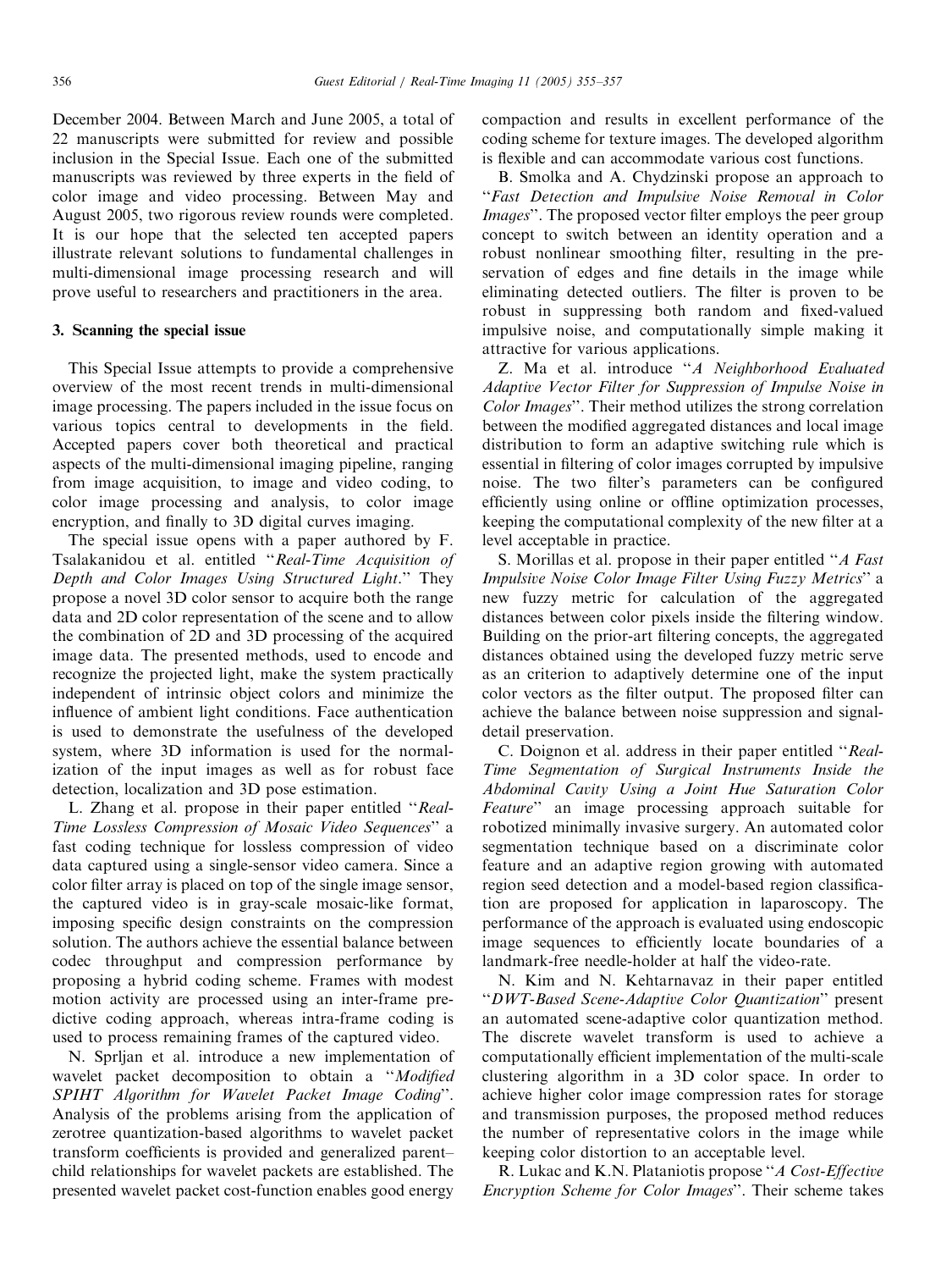December 2004. Between March and June 2005, a total of 22 manuscripts were submitted for review and possible inclusion in the Special Issue. Each one of the submitted manuscripts was reviewed by three experts in the field of color image and video processing. Between May and August 2005, two rigorous review rounds were completed. It is our hope that the selected ten accepted papers illustrate relevant solutions to fundamental challenges in multi-dimensional image processing research and will prove useful to researchers and practitioners in the area.

### 3. Scanning the special issue

This Special Issue attempts to provide a comprehensive overview of the most recent trends in multi-dimensional image processing. The papers included in the issue focus on various topics central to developments in the field. Accepted papers cover both theoretical and practical aspects of the multi-dimensional imaging pipeline, ranging from image acquisition, to image and video coding, to color image processing and analysis, to color image encryption, and finally to 3D digital curves imaging.

The special issue opens with a paper authored by F. Tsalakanidou et al. entitled ''Real-Time Acquisition of Depth and Color Images Using Structured Light.'' They propose a novel 3D color sensor to acquire both the range data and 2D color representation of the scene and to allow the combination of 2D and 3D processing of the acquired image data. The presented methods, used to encode and recognize the projected light, make the system practically independent of intrinsic object colors and minimize the influence of ambient light conditions. Face authentication is used to demonstrate the usefulness of the developed system, where 3D information is used for the normalization of the input images as well as for robust face detection, localization and 3D pose estimation.

L. Zhang et al. propose in their paper entitled ''Real-Time Lossless Compression of Mosaic Video Sequences'' a fast coding technique for lossless compression of video data captured using a single-sensor video camera. Since a color filter array is placed on top of the single image sensor, the captured video is in gray-scale mosaic-like format, imposing specific design constraints on the compression solution. The authors achieve the essential balance between codec throughput and compression performance by proposing a hybrid coding scheme. Frames with modest motion activity are processed using an inter-frame predictive coding approach, whereas intra-frame coding is used to process remaining frames of the captured video.

N. Sprljan et al. introduce a new implementation of wavelet packet decomposition to obtain a ''Modified SPIHT Algorithm for Wavelet Packet Image Coding''. Analysis of the problems arising from the application of zerotree quantization-based algorithms to wavelet packet transform coefficients is provided and generalized parent– child relationships for wavelet packets are established. The presented wavelet packet cost-function enables good energy compaction and results in excellent performance of the coding scheme for texture images. The developed algorithm is flexible and can accommodate various cost functions.

B. Smolka and A. Chydzinski propose an approach to ''Fast Detection and Impulsive Noise Removal in Color Images''. The proposed vector filter employs the peer group concept to switch between an identity operation and a robust nonlinear smoothing filter, resulting in the preservation of edges and fine details in the image while eliminating detected outliers. The filter is proven to be robust in suppressing both random and fixed-valued impulsive noise, and computationally simple making it attractive for various applications.

Z. Ma et al. introduce ''A Neighborhood Evaluated Adaptive Vector Filter for Suppression of Impulse Noise in Color Images''. Their method utilizes the strong correlation between the modified aggregated distances and local image distribution to form an adaptive switching rule which is essential in filtering of color images corrupted by impulsive noise. The two filter's parameters can be configured efficiently using online or offline optimization processes, keeping the computational complexity of the new filter at a level acceptable in practice.

S. Morillas et al. propose in their paper entitled ''A Fast Impulsive Noise Color Image Filter Using Fuzzy Metrics'' a new fuzzy metric for calculation of the aggregated distances between color pixels inside the filtering window. Building on the prior-art filtering concepts, the aggregated distances obtained using the developed fuzzy metric serve as an criterion to adaptively determine one of the input color vectors as the filter output. The proposed filter can achieve the balance between noise suppression and signaldetail preservation.

C. Doignon et al. address in their paper entitled ''Real-Time Segmentation of Surgical Instruments Inside the Abdominal Cavity Using a Joint Hue Saturation Color Feature'' an image processing approach suitable for robotized minimally invasive surgery. An automated color segmentation technique based on a discriminate color feature and an adaptive region growing with automated region seed detection and a model-based region classification are proposed for application in laparoscopy. The performance of the approach is evaluated using endoscopic image sequences to efficiently locate boundaries of a landmark-free needle-holder at half the video-rate.

N. Kim and N. Kehtarnavaz in their paper entitled ''DWT-Based Scene-Adaptive Color Quantization'' present an automated scene-adaptive color quantization method. The discrete wavelet transform is used to achieve a computationally efficient implementation of the multi-scale clustering algorithm in a 3D color space. In order to achieve higher color image compression rates for storage and transmission purposes, the proposed method reduces the number of representative colors in the image while keeping color distortion to an acceptable level.

R. Lukac and K.N. Plataniotis propose ''A Cost-Effective Encryption Scheme for Color Images''. Their scheme takes